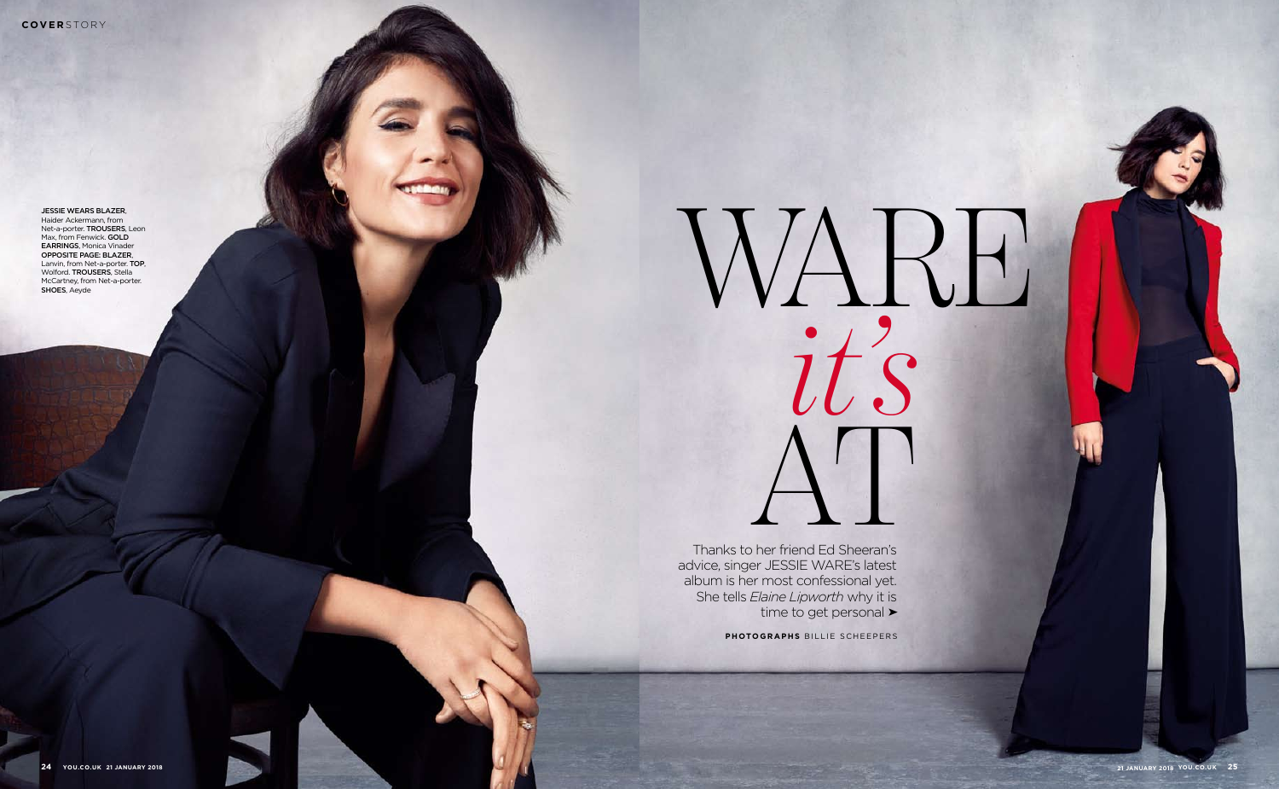Jessie wears blazer , Haider Ackermann, from Net-a-porter. TROUSERS, Leon Max, from Fenwick. **GOLD EARRINGS, Monica Vinader** Opposite page: blazer, Lanvin, from Net-a-porter. Top, Wolford. TROUSERS, Stella McCartney, from Net-a-porter. SHOES, Aeyde

> Thanks to her friend Ed Sheeran's advice, singer JESSIE WA RE's latest album is her most confessional yet. She tells *Elaine Lipworth* why it is time to get personal ►

> > PHOTOGRAPHS BILLIE SCHEEPERS

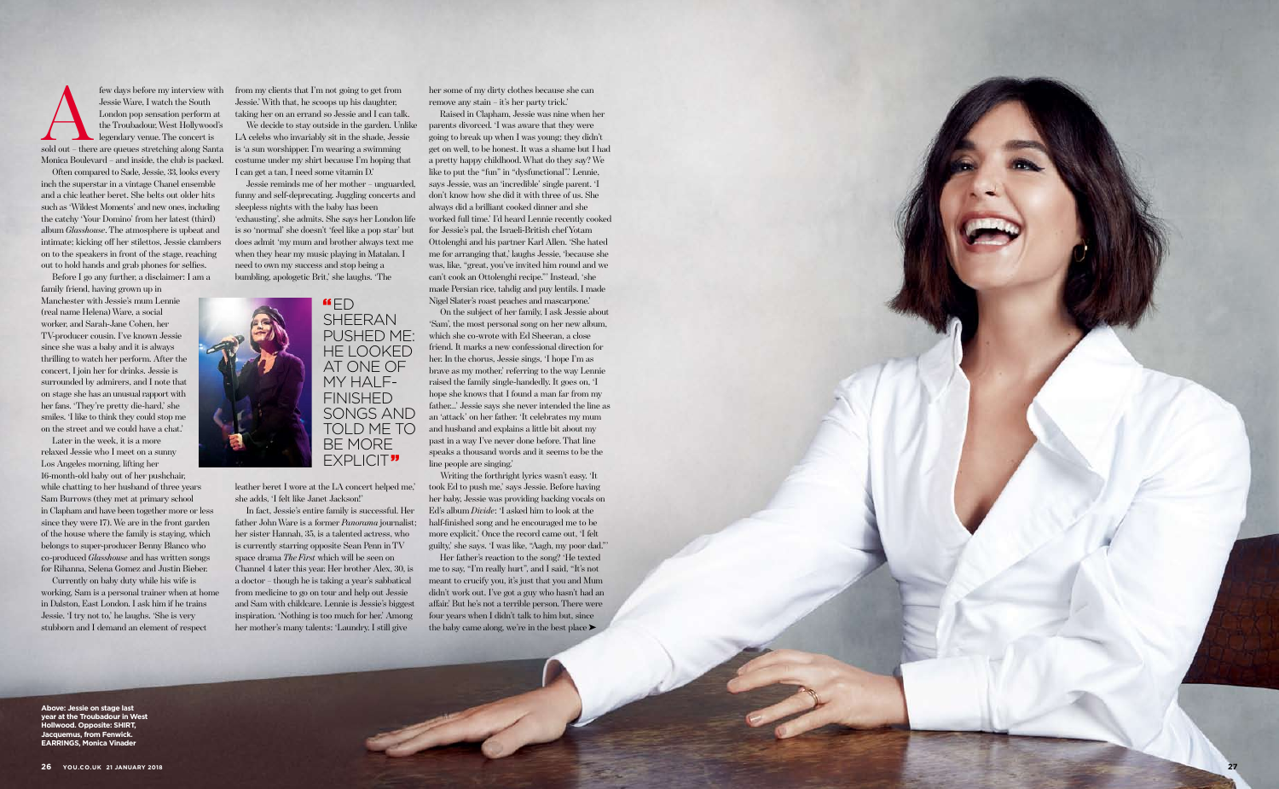few days before my interview with<br>
Jessie Ware, I watch the South<br>
London pop sensation perform at<br>
the Troubadour, West Hollywood's<br>
legendary venue. The concert is<br>
sold out – there are queues stretching along Santa Jessie Ware, I watch the South London pop sensation perform at the Troubadour, West Hollywood's legendary venue. The concert is Monica Boulevard – and inside, the club is packed.

Often compared to Sade, Jessie, 33, looks every inch the superstar in a vintage Chanel ensemble and a chic leather beret. She belts out older hits such as 'Wildest Moments' and new ones, including the catchy 'Your Domino' from her latest (third) album *Glasshouse*. The atmosphere is upbeat and intimate; kicking off her stilettos, Jessie clambers on to the speakers in front of the stage, reaching out to hold hands and grab phones for selfies.

Before I go any further, a disclaimer: I am a family friend, having grown up in

Manchester with Jessie's mum Lennie (real name Helena) Ware, a social worker, and Sarah-Jane Cohen, her TV-producer cousin. I've known Jessie since she was a baby and it is always thrilling to watch her perform. After the concert, I join her for drinks. Jessie is surrounded by admirers, and I note that on stage she has an unusual rapport with her fans. 'They're pretty die-hard,' she smiles. 'I like to think they could stop me on the street and we could have a chat.'

Later in the week, it is a more relaxed Jessie who I meet on a sunny Los Angeles morning, lifting her 16-month-old baby out of her pushchair, while chatting to her husband of three years Sam Burrows (they met at primary school in Clapham and have been together more or less since they were 17). We are in the front garden of the house where the family is staying, which belongs to super-producer Benny Blanco who co-produced *Glasshouse* and has written songs for Rihanna, Selena Gomez and Justin Bieber.

Currently on baby duty while his wife is working, Sam is a personal trainer when at home in Dalston, East London. I ask him if he trains Jessie. 'I try not to,' he laughs. 'She is very stubborn and I demand an element of respect

from my clients that I'm not going to get from Jessie.' With that, he scoops up his daughter, taking her on an errand so Jessie and I can talk.

We decide to stay outside in the garden. Unlike LA celebs who invariably sit in the shade, Jessie is 'a sun worshipper. I'm wearing a swimming costume under my shirt because I'm hoping that I can get a tan, I need some vitamin D.'

Jessie reminds me of her mother – unguarded, funny and self-deprecating. Juggling concerts and sleepless nights with the baby has been 'exhausting', she admits. She says her London life is so 'normal' she doesn't 'feel like a pop star' but does admit 'my mum and brother always text me when they hear my music playing in Matalan. I need to own my success and stop being a bumbling, apologetic Brit,' she laughs. 'The

> Her father's reaction to the song? 'He texted me to say, "I'm really hurt", and I said, "It's not meant to crucify you, it's just that you and Mum didn't work out. I've got a guy who hasn't had an affair.' But he's not a terrible person. There were four years when I didn't talk to him but, since the baby came along, we're in the best place ▶

leather beret I wore at the LA concert helped me,' she adds, 'I felt like Janet Jackson!'

In fact, Jessie's entire family is successful. Her father John Ware is a former *Panorama* journalist; her sister Hannah, 35, is a talented actress, who is currently starring opposite Sean Penn in TV space drama *The First* which will be seen on Channel 4 later this year. Her brother Alex, 30, is a doctor – though he is taking a year's sabbatical from medicine to go on tour and help out Jessie and Sam with childcare. Lennie is Jessie's biggest inspiration. 'Nothing is too much for her.' Among her mother's many talents: 'Laundry. I still give

her some of my dirty clothes because she can remove any stain – it's her party trick.'

Raised in Clapham, Jessie was nine when her parents divorced. 'I was aware that they were going to break up when I was young; they didn't get on well, to be honest. It was a shame but I had a pretty happy childhood. What do they say? We like to put the "fun" in "dysfunctional".' Lennie, says Jessie, was an 'incredible' single parent. 'I don't know how she did it with three of us. She always did a brilliant cooked dinner and she worked full time.' I'd heard Lennie recently cooked for Jessie's pal, the Israeli-British chef Yotam Ottolenghi and his partner Karl Allen. 'She hated me for arranging that,' laughs Jessie, 'because she was, like, "great, you've invited him round and we can't cook an Ottolenghi recipe."' Instead, 'she made Persian rice, tahdig and puy lentils. I made Nigel Slater's roast peaches and mascarpone.'

On the subject of her family, I ask Jessie about 'Sam', the most personal song on her new album, which she co-wrote with Ed Sheeran, a close friend. It marks a new confessional direction for her. In the chorus, Jessie sings, 'I hope I'm as brave as my mother,' referring to the way Lennie raised the family single-handedly. It goes on, 'I hope she knows that I found a man far from my father…' Jessie says she never intended the line as an 'attack' on her father. 'It celebrates my mum and husband and explains a little bit about my past in a way I've never done before. That line speaks a thousand words and it seems to be the line people are singing.'

Writing the forthright lyrics wasn't easy. 'It took Ed to push me,' says Jessie. Before having her baby, Jessie was providing backing vocals on Ed's album *Divide*: 'I asked him to look at the half-finished song and he encouraged me to be more explicit.' Once the record came out, 'I felt guilty,' she says. 'I was like, "Aagh, my poor dad."'



**Above: jessie on stage last year at the Troubadour in West Hollwood. Opposite: SH IRT, Jacquemus, from Fenwick. Earrings, Monica Vinader**